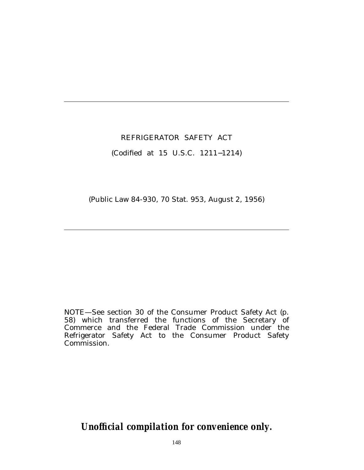# REFRIGERATOR SAFETY ACT

## (Codified at 15 U.S.C. 1211−1214)

(Public Law 84-930, 70 Stat. 953, August 2, 1956)

NOTE—See section 30 of the Consumer Product Safety Act (p. 58) which transferred the functions of the Secretary of Commerce and the Federal Trade Commission under the Refrigerator Safety Act to the Consumer Product Safety Commission.

*Unofficial compilation for convenience only.*